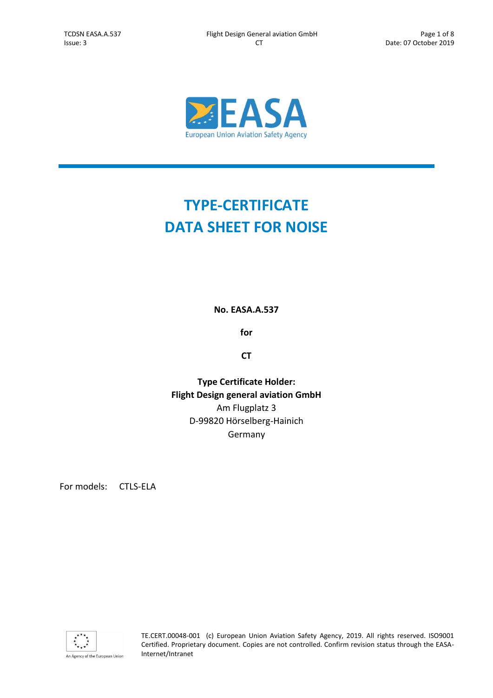

## **TYPE-CERTIFICATE DATA SHEET FOR NOISE**

**No. EASA.A.537**

**for**

**CT**

**Type Certificate Holder: Flight Design general aviation GmbH** Am Flugplatz 3 D-99820 Hörselberg-Hainich Germany

For models: CTLS-ELA



TE.CERT.00048-001 (c) European Union Aviation Safety Agency, 2019. All rights reserved. ISO9001 Certified. Proprietary document. Copies are not controlled. Confirm revision status through the EASA-Internet/Intranet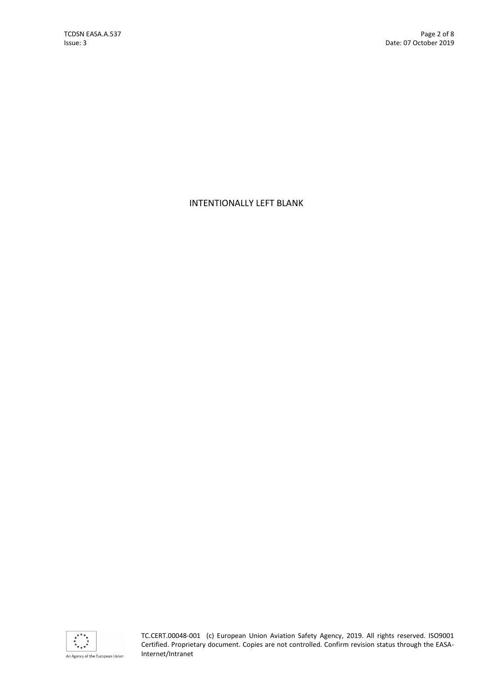## INTENTIONALLY LEFT BLANK



TC.CERT.00048-001 (c) European Union Aviation Safety Agency, 2019. All rights reserved. ISO9001 Certified. Proprietary document. Copies are not controlled. Confirm revision status through the EASA-Internet/Intranet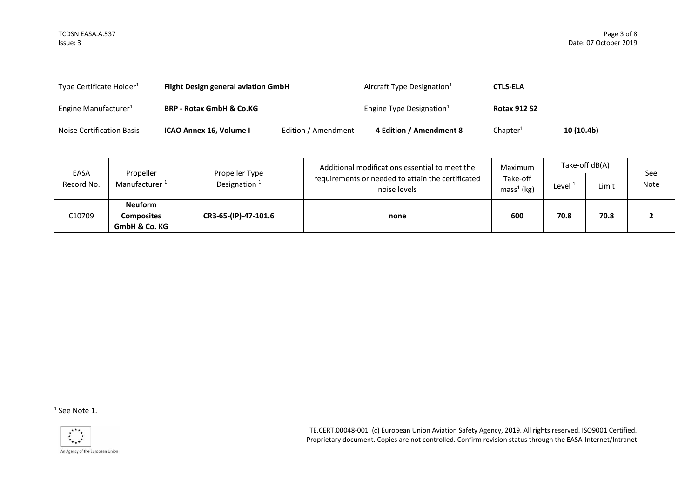| Type Certificate Holder <sup>1</sup> | <b>Flight Design general aviation GmbH</b> |                     | Aircraft Type Designation <sup>1</sup> | <b>CTLS-ELA</b>      |           |
|--------------------------------------|--------------------------------------------|---------------------|----------------------------------------|----------------------|-----------|
| Engine Manufacturer <sup>1</sup>     | <b>BRP - Rotax GmbH &amp; Co.KG</b>        |                     | Engine Type Designation <sup>1</sup>   | <b>Rotax 912 S2</b>  |           |
| Noise Certification Basis            | ICAO Annex 16, Volume I                    | Edition / Amendment | 4 Edition / Amendment 8                | Chapter <sup>1</sup> | 10(10.4b) |

|                    |                                                      |                                   | Additional modifications essential to meet the                    | Maximum                  | Take-off dB(A) |       |             |
|--------------------|------------------------------------------------------|-----------------------------------|-------------------------------------------------------------------|--------------------------|----------------|-------|-------------|
| EASA<br>Record No. | Propeller<br>Manufacturer <sup>1</sup>               | Propeller Type<br>Designation $1$ | requirements or needed to attain the certificated<br>noise levels | Take-off<br>$mass1$ (kg) | Level $1$      | Limit | See<br>Note |
| C10709             | <b>Neuform</b><br><b>Composites</b><br>GmbH & Co. KG | CR3-65-(IP)-47-101.6              | none                                                              | 600                      | 70.8           | 70.8  |             |

1



TE.CERT.00048-001 (c) European Union Aviation Safety Agency, 2019. All rights reserved. ISO9001 Certified. Proprietary document. Copies are not controlled. Confirm revision status through the EASA-Internet/Intranet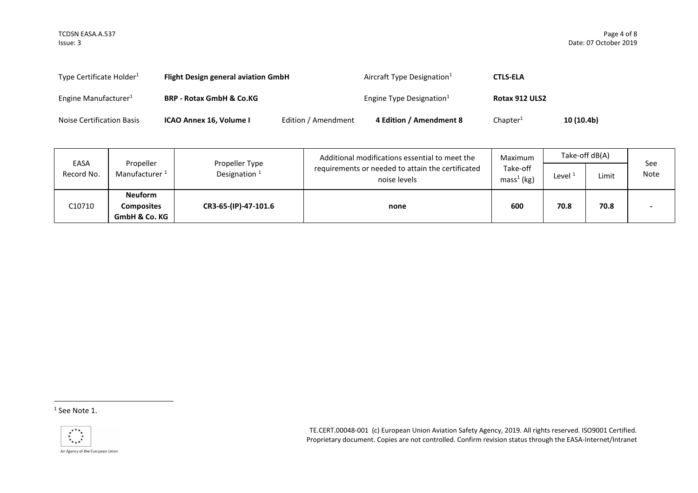| Type Certificate Holder <sup>1</sup> | <b>Flight Design general aviation GmbH</b> |                     | Aircraft Type Designation <sup>1</sup> | <b>CTLS-ELA</b>      |            |
|--------------------------------------|--------------------------------------------|---------------------|----------------------------------------|----------------------|------------|
| Engine Manufacturer <sup>1</sup>     | <b>BRP - Rotax GmbH &amp; Co.KG</b>        |                     | Engine Type Designation $1$            | Rotax 912 ULS2       |            |
| Noise Certification Basis            | ICAO Annex 16, Volume I                    | Edition / Amendment | 4 Edition / Amendment 8                | Chapter <sup>1</sup> | 10 (10.4b) |

|                    |                                                      |                                   | Additional modifications essential to meet the                    | Maximum                  | Take-off dB(A) |       | See                      |
|--------------------|------------------------------------------------------|-----------------------------------|-------------------------------------------------------------------|--------------------------|----------------|-------|--------------------------|
| EASA<br>Record No. | Propeller<br>Manufacturer <sup>1</sup>               | Propeller Type<br>Designation $1$ | requirements or needed to attain the certificated<br>noise levels | Take-off<br>$mass1$ (kg) | Level          | Limit | <b>Note</b>              |
| C10710             | <b>Neuform</b><br><b>Composites</b><br>GmbH & Co. KG | CR3-65-(IP)-47-101.6              | none                                                              | 600                      | 70.8           | 70.8  | $\overline{\phantom{a}}$ |

1



TE.CERT.00048-001 (c) European Union Aviation Safety Agency, 2019. All rights reserved. ISO9001 Certified. Proprietary document. Copies are not controlled. Confirm revision status through the EASA-Internet/Intranet

An Agency of the European Union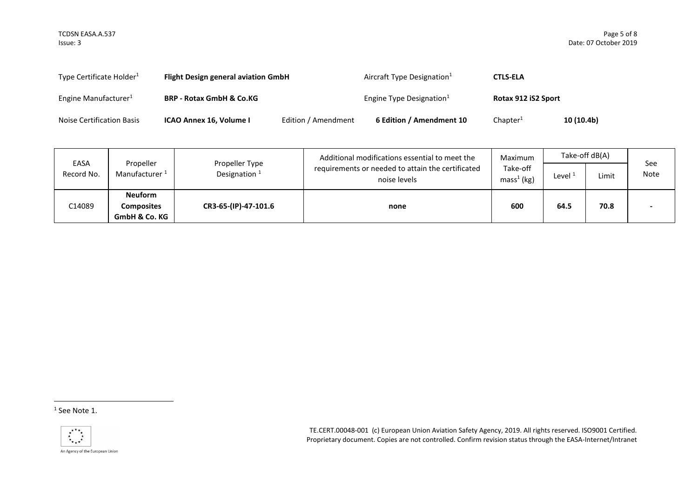| Type Certificate Holder <sup>1</sup> | <b>Flight Design general aviation GmbH</b> |                     | Aircraft Type Designation <sup>1</sup> | <b>CTLS-ELA</b>      |            |
|--------------------------------------|--------------------------------------------|---------------------|----------------------------------------|----------------------|------------|
| Engine Manufacturer <sup>1</sup>     | <b>BRP - Rotax GmbH &amp; Co.KG</b>        |                     | Engine Type Designation <sup>1</sup>   | Rotax 912 iS2 Sport  |            |
| Noise Certification Basis            | <b>ICAO Annex 16, Volume I</b>             | Edition / Amendment | 6 Edition / Amendment 10               | Chapter <sup>1</sup> | 10 (10.4b) |

|                    |                                                      |                                   | Additional modifications essential to meet the                    | Maximum                  | Take-off dB(A) |       |                    |
|--------------------|------------------------------------------------------|-----------------------------------|-------------------------------------------------------------------|--------------------------|----------------|-------|--------------------|
| EASA<br>Record No. | Propeller<br>Manufacturer <sup>1</sup>               | Propeller Type<br>Designation $1$ | requirements or needed to attain the certificated<br>noise levels | Take-off<br>$mass1$ (kg) | Level          | Limit | See<br><b>Note</b> |
| C14089             | <b>Neuform</b><br><b>Composites</b><br>GmbH & Co. KG | CR3-65-(IP)-47-101.6              | none                                                              | 600                      | 64.5           | 70.8  | -                  |

1



TE.CERT.00048-001 (c) European Union Aviation Safety Agency, 2019. All rights reserved. ISO9001 Certified. Proprietary document. Copies are not controlled. Confirm revision status through the EASA-Internet/Intranet

An Agency of the European Union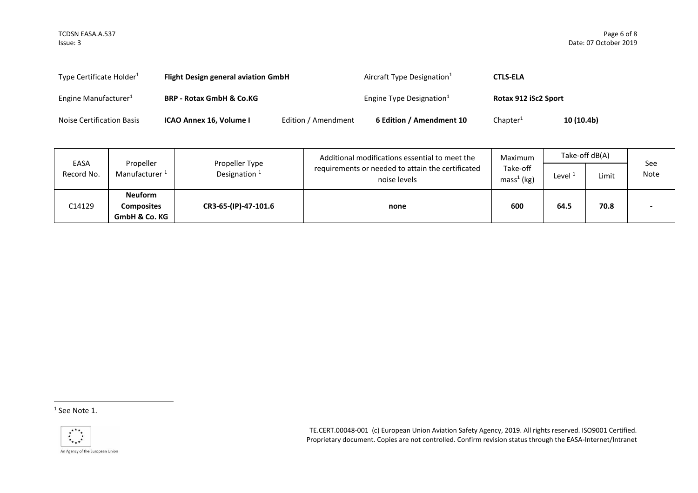| Type Certificate Holder <sup>1</sup> | <b>Flight Design general aviation GmbH</b> |                     | Aircraft Type Designation $1$ | <b>CTLS-ELA</b>      |            |
|--------------------------------------|--------------------------------------------|---------------------|-------------------------------|----------------------|------------|
| Engine Manufacturer <sup>1</sup>     | <b>BRP - Rotax GmbH &amp; Co.KG</b>        |                     | Engine Type Designation $1$   | Rotax 912 iSc2 Sport |            |
| Noise Certification Basis            | ICAO Annex 16, Volume I                    | Edition / Amendment | 6 Edition / Amendment 10      | Chapter <sup>1</sup> | 10 (10.4b) |

|                    |                                                      |                                   | Additional modifications essential to meet the                    | Maximum                  | Take-off dB(A) |       |                    |
|--------------------|------------------------------------------------------|-----------------------------------|-------------------------------------------------------------------|--------------------------|----------------|-------|--------------------|
| EASA<br>Record No. | Propeller<br>Manufacturer <sup>1</sup>               | Propeller Type<br>Designation $1$ | requirements or needed to attain the certificated<br>noise levels | Take-off<br>$mass1$ (kg) | Level          | Limit | See<br><b>Note</b> |
| C14129             | <b>Neuform</b><br><b>Composites</b><br>GmbH & Co. KG | CR3-65-(IP)-47-101.6              | none                                                              | 600                      | 64.5           | 70.8  | -                  |

1



TE.CERT.00048-001 (c) European Union Aviation Safety Agency, 2019. All rights reserved. ISO9001 Certified. Proprietary document. Copies are not controlled. Confirm revision status through the EASA-Internet/Intranet

An Agency of the European Union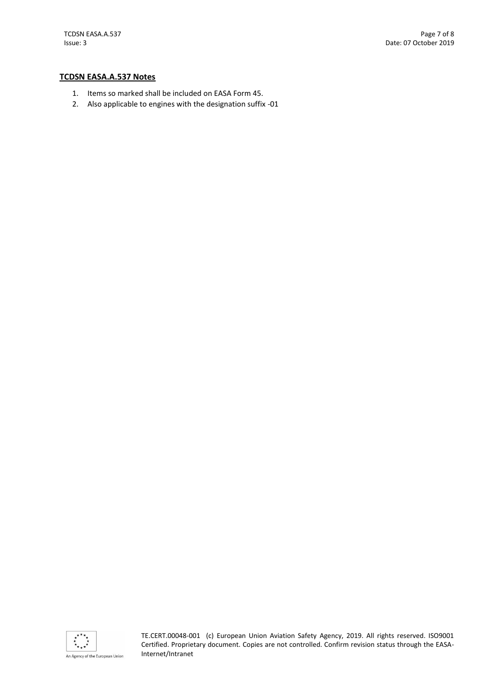## **TCDSN EASA.A.537 Notes**

- 1. Items so marked shall be included on EASA Form 45.
- 2. Also applicable to engines with the designation suffix -01



TE.CERT.00048-001 (c) European Union Aviation Safety Agency, 2019. All rights reserved. ISO9001 Certified. Proprietary document. Copies are not controlled. Confirm revision status through the EASA-Internet/Intranet